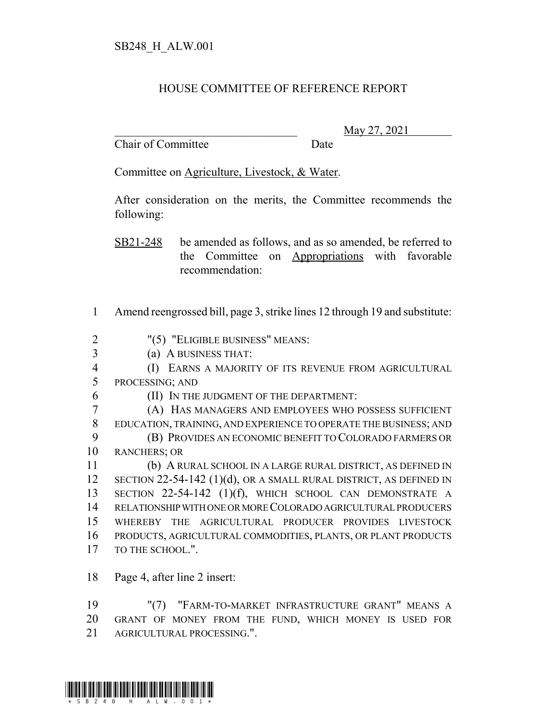## HOUSE COMMITTEE OF REFERENCE REPORT

Chair of Committee Date

\_\_\_\_\_\_\_\_\_\_\_\_\_\_\_\_\_\_\_\_\_\_\_\_\_\_\_\_\_\_\_ May 27, 2021

Committee on Agriculture, Livestock, & Water.

After consideration on the merits, the Committee recommends the following:

SB21-248 be amended as follows, and as so amended, be referred to the Committee on Appropriations with favorable recommendation:

- 1 Amend reengrossed bill, page 3, strike lines 12 through 19 and substitute:
- 2 "(5) "ELIGIBLE BUSINESS" MEANS:
- 3 (a) A BUSINESS THAT:

4 (I) EARNS A MAJORITY OF ITS REVENUE FROM AGRICULTURAL 5 PROCESSING; AND

- 
- 6 (II) IN THE JUDGMENT OF THE DEPARTMENT:

 (A) HAS MANAGERS AND EMPLOYEES WHO POSSESS SUFFICIENT EDUCATION, TRAINING, AND EXPERIENCE TO OPERATE THE BUSINESS; AND (B) PROVIDES AN ECONOMIC BENEFIT TO COLORADO FARMERS OR RANCHERS; OR

 (b) A RURAL SCHOOL IN A LARGE RURAL DISTRICT, AS DEFINED IN 12 SECTION 22-54-142 (1)(d), OR A SMALL RURAL DISTRICT, AS DEFINED IN SECTION 22-54-142 (1)(f), WHICH SCHOOL CAN DEMONSTRATE A RELATIONSHIP WITH ONE OR MORE COLORADO AGRICULTURAL PRODUCERS WHEREBY THE AGRICULTURAL PRODUCER PROVIDES LIVESTOCK PRODUCTS, AGRICULTURAL COMMODITIES, PLANTS, OR PLANT PRODUCTS 17 TO THE SCHOOL.".

18 Page 4, after line 2 insert:

19 "(7) "FARM-TO-MARKET INFRASTRUCTURE GRANT" MEANS A 20 GRANT OF MONEY FROM THE FUND, WHICH MONEY IS USED FOR 21 AGRICULTURAL PROCESSING.".

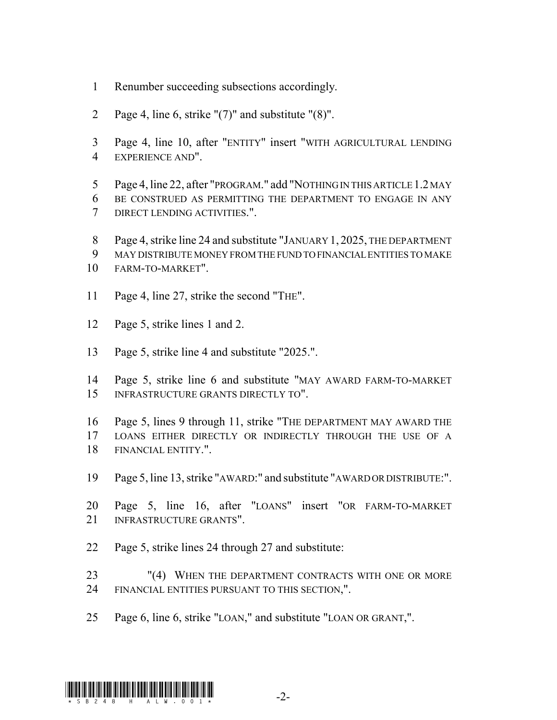- Renumber succeeding subsections accordingly.
- Page 4, line 6, strike "(7)" and substitute "(8)".
- Page 4, line 10, after "ENTITY" insert "WITH AGRICULTURAL LENDING EXPERIENCE AND".
- Page 4, line 22, after "PROGRAM." add "NOTHING IN THIS ARTICLE 1.2 MAY BE CONSTRUED AS PERMITTING THE DEPARTMENT TO ENGAGE IN ANY DIRECT LENDING ACTIVITIES.".
- Page 4, strike line 24 and substitute "JANUARY 1, 2025, THE DEPARTMENT
- MAY DISTRIBUTE MONEY FROM THE FUND TO FINANCIAL ENTITIES TO MAKE
- FARM-TO-MARKET".
- 11 Page 4, line 27, strike the second "THE".
- Page 5, strike lines 1 and 2.
- Page 5, strike line 4 and substitute "2025.".
- Page 5, strike line 6 and substitute "MAY AWARD FARM-TO-MARKET INFRASTRUCTURE GRANTS DIRECTLY TO".

 Page 5, lines 9 through 11, strike "THE DEPARTMENT MAY AWARD THE LOANS EITHER DIRECTLY OR INDIRECTLY THROUGH THE USE OF A FINANCIAL ENTITY.".

- Page 5, line 13, strike "AWARD:" and substitute "AWARD OR DISTRIBUTE:".
- Page 5, line 16, after "LOANS" insert "OR FARM-TO-MARKET INFRASTRUCTURE GRANTS".
- Page 5, strike lines 24 through 27 and substitute:
- "(4) WHEN THE DEPARTMENT CONTRACTS WITH ONE OR MORE FINANCIAL ENTITIES PURSUANT TO THIS SECTION,".
- Page 6, line 6, strike "LOAN," and substitute "LOAN OR GRANT,".